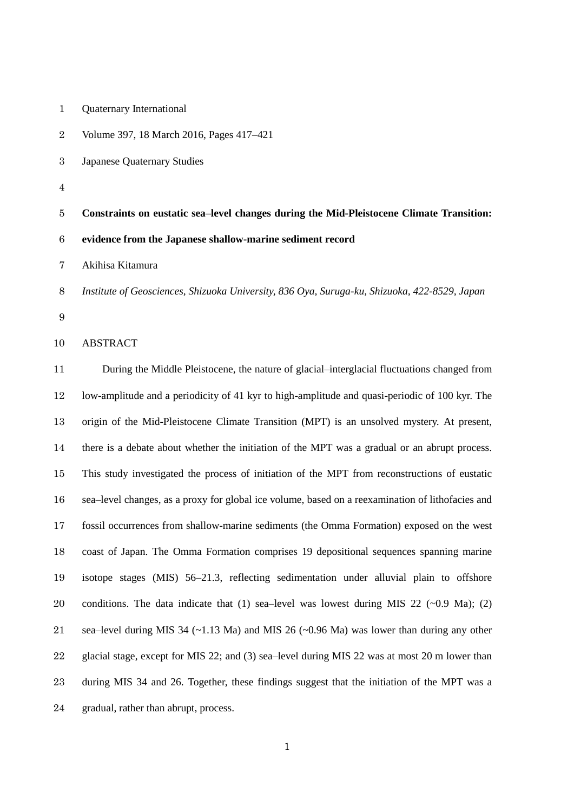| $\boldsymbol{2}$ | Volume 397, 18 March 2016, Pages 417-421                                                               |
|------------------|--------------------------------------------------------------------------------------------------------|
| $\boldsymbol{3}$ | Japanese Quaternary Studies                                                                            |
| $\overline{4}$   |                                                                                                        |
| $\bf 5$          | Constraints on eustatic sea-level changes during the Mid-Pleistocene Climate Transition:               |
| $\,6$            | evidence from the Japanese shallow-marine sediment record                                              |
| $\overline{7}$   | Akihisa Kitamura                                                                                       |
| 8                | Institute of Geosciences, Shizuoka University, 836 Oya, Suruga-ku, Shizuoka, 422-8529, Japan           |
| $\boldsymbol{9}$ |                                                                                                        |
| 10               | <b>ABSTRACT</b>                                                                                        |
| 11               | During the Middle Pleistocene, the nature of glacial-interglacial fluctuations changed from            |
| 12               | low-amplitude and a periodicity of 41 kyr to high-amplitude and quasi-periodic of 100 kyr. The         |
| 13               | origin of the Mid-Pleistocene Climate Transition (MPT) is an unsolved mystery. At present,             |
| 14               | there is a debate about whether the initiation of the MPT was a gradual or an abrupt process.          |
| 15               | This study investigated the process of initiation of the MPT from reconstructions of eustatic          |
| 16               | sea-level changes, as a proxy for global ice volume, based on a reexamination of lithofacies and       |
| 17               | fossil occurrences from shallow-marine sediments (the Omma Formation) exposed on the west              |
| 18               | coast of Japan. The Omma Formation comprises 19 depositional sequences spanning marine                 |
| 19               | isotope stages (MIS) 56–21.3, reflecting sedimentation under alluvial plain to offshore                |
| 20               | conditions. The data indicate that (1) sea-level was lowest during MIS 22 ( $\sim$ 0.9 Ma); (2)        |
| 21               | sea–level during MIS 34 ( $\sim$ 1.13 Ma) and MIS 26 ( $\sim$ 0.96 Ma) was lower than during any other |
| 22               | glacial stage, except for MIS 22; and (3) sea-level during MIS 22 was at most 20 m lower than          |
| 23               | during MIS 34 and 26. Together, these findings suggest that the initiation of the MPT was a            |

Quaternary International

gradual, rather than abrupt, process.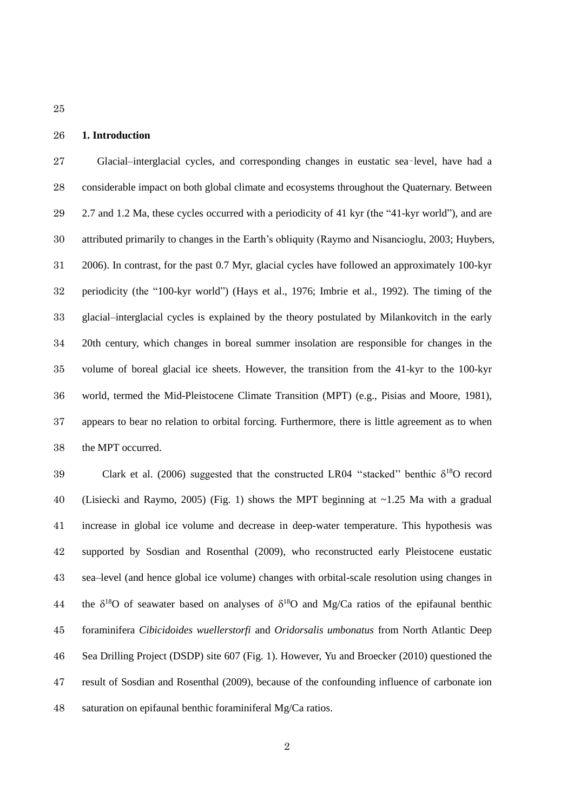# **1. Introduction**

 Glacial–interglacial cycles, and corresponding changes in eustatic sea–level, have had a considerable impact on both global climate and ecosystems throughout the Quaternary. Between 2.7 and 1.2 Ma, these cycles occurred with a periodicity of 41 kyr (the "41-kyr world"), and are attributed primarily to changes in the Earth's obliquity (Raymo and Nisancioglu, 2003; Huybers, 2006). In contrast, for the past 0.7 Myr, glacial cycles have followed an approximately 100-kyr periodicity (the "100-kyr world") (Hays et al., 1976; Imbrie et al., 1992). The timing of the glacial–interglacial cycles is explained by the theory postulated by Milankovitch in the early 20th century, which changes in boreal summer insolation are responsible for changes in the volume of boreal glacial ice sheets. However, the transition from the 41-kyr to the 100-kyr world, termed the Mid-Pleistocene Climate Transition (MPT) (e.g., Pisias and Moore, 1981), appears to bear no relation to orbital forcing. Furthermore, there is little agreement as to when the MPT occurred.

39 Clark et al. (2006) suggested that the constructed LR04 "stacked" benthic  $\delta^{18}O$  record (Lisiecki and Raymo, 2005) (Fig. 1) shows the MPT beginning at ~1.25 Ma with a gradual increase in global ice volume and decrease in deep-water temperature. This hypothesis was supported by Sosdian and Rosenthal (2009), who reconstructed early Pleistocene eustatic sea–level (and hence global ice volume) changes with orbital-scale resolution using changes in 44 the  $\delta^{18}O$  of seawater based on analyses of  $\delta^{18}O$  and Mg/Ca ratios of the epifaunal benthic foraminifera *Cibicidoides wuellerstorfi* and *Oridorsalis umbonatus* from North Atlantic Deep Sea Drilling Project (DSDP) site 607 (Fig. 1). However, Yu and Broecker (2010) questioned the result of Sosdian and Rosenthal (2009), because of the confounding influence of carbonate ion saturation on epifaunal benthic foraminiferal Mg/Ca ratios.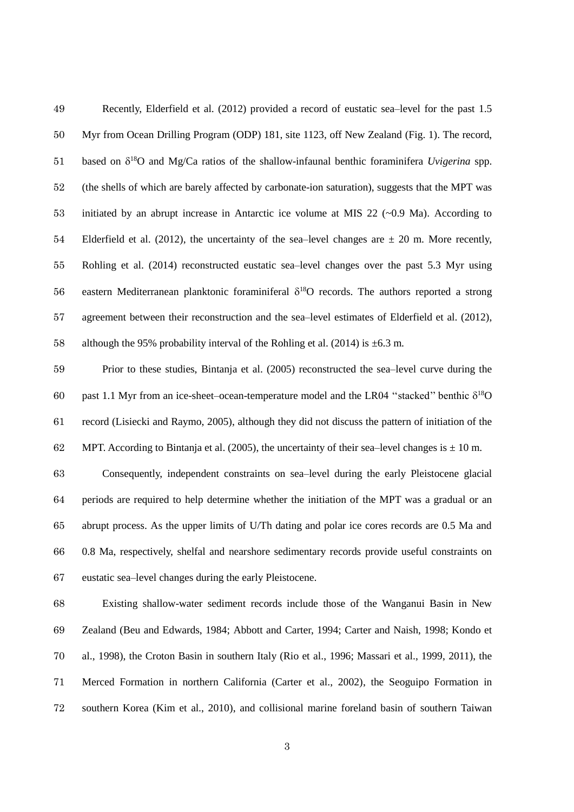Recently, Elderfield et al. (2012) provided a record of eustatic sea–level for the past 1.5 Myr from Ocean Drilling Program (ODP) 181, site 1123, off New Zealand (Fig. 1). The record, 51 based on  $\delta^{18}$ O and Mg/Ca ratios of the shallow-infaunal benthic foraminifera *Uvigerina* spp. (the shells of which are barely affected by carbonate-ion saturation), suggests that the MPT was initiated by an abrupt increase in Antarctic ice volume at MIS 22 (~0.9 Ma). According to 54 Elderfield et al. (2012), the uncertainty of the sea–level changes are  $\pm$  20 m. More recently, Rohling et al. (2014) reconstructed eustatic sea–level changes over the past 5.3 Myr using 56 eastern Mediterranean planktonic foraminiferal  $\delta^{18}O$  records. The authors reported a strong agreement between their reconstruction and the sea–level estimates of Elderfield et al. (2012), 58 although the 95% probability interval of the Rohling et al. (2014) is  $\pm$ 6.3 m.

 Prior to these studies, Bintanja et al. (2005) reconstructed the sea–level curve during the 60 past 1.1 Myr from an ice-sheet–ocean-temperature model and the LR04 "stacked" benthic  $\delta^{18}O$  record (Lisiecki and Raymo, 2005), although they did not discuss the pattern of initiation of the 62 MPT. According to Bintanja et al. (2005), the uncertainty of their sea–level changes is  $\pm$  10 m.

 Consequently, independent constraints on sea–level during the early Pleistocene glacial periods are required to help determine whether the initiation of the MPT was a gradual or an abrupt process. As the upper limits of U/Th dating and polar ice cores records are 0.5 Ma and 0.8 Ma, respectively, shelfal and nearshore sedimentary records provide useful constraints on eustatic sea–level changes during the early Pleistocene.

 Existing shallow-water sediment records include those of the Wanganui Basin in New Zealand (Beu and Edwards, 1984; Abbott and Carter, 1994; Carter and Naish, 1998; Kondo et al., 1998), the Croton Basin in southern Italy (Rio et al., 1996; Massari et al., 1999, 2011), the Merced Formation in northern California (Carter et al., 2002), the Seoguipo Formation in southern Korea (Kim et al., 2010), and collisional marine foreland basin of southern Taiwan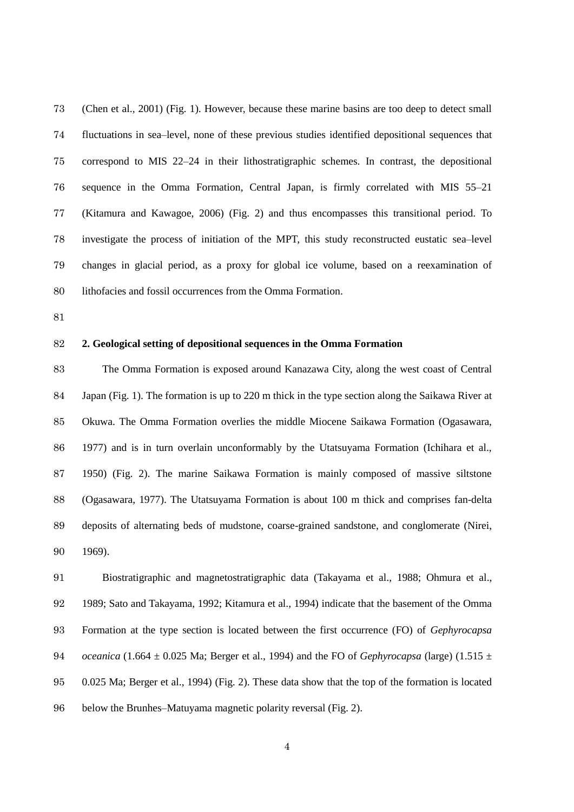(Chen et al., 2001) (Fig. 1). However, because these marine basins are too deep to detect small fluctuations in sea–level, none of these previous studies identified depositional sequences that correspond to MIS 22–24 in their lithostratigraphic schemes. In contrast, the depositional sequence in the Omma Formation, Central Japan, is firmly correlated with MIS 55–21 (Kitamura and Kawagoe, 2006) (Fig. 2) and thus encompasses this transitional period. To investigate the process of initiation of the MPT, this study reconstructed eustatic sea–level changes in glacial period, as a proxy for global ice volume, based on a reexamination of lithofacies and fossil occurrences from the Omma Formation.

## **2. Geological setting of depositional sequences in the Omma Formation**

 The Omma Formation is exposed around Kanazawa City, along the west coast of Central Japan (Fig. 1). The formation is up to 220 m thick in the type section along the Saikawa River at Okuwa. The Omma Formation overlies the middle Miocene Saikawa Formation (Ogasawara, 1977) and is in turn overlain unconformably by the Utatsuyama Formation (Ichihara et al., 1950) (Fig. 2). The marine Saikawa Formation is mainly composed of massive siltstone (Ogasawara, 1977). The Utatsuyama Formation is about 100 m thick and comprises fan-delta deposits of alternating beds of mudstone, coarse-grained sandstone, and conglomerate (Nirei, 1969).

 Biostratigraphic and magnetostratigraphic data (Takayama et al., 1988; Ohmura et al., 1989; Sato and Takayama, 1992; Kitamura et al., 1994) indicate that the basement of the Omma Formation at the type section is located between the first occurrence (FO) of *Gephyrocapsa oceanica* (1.664  $\pm$  0.025 Ma; Berger et al., 1994) and the FO of *Gephyrocapsa* (large) (1.515  $\pm$  0.025 Ma; Berger et al., 1994) (Fig. 2). These data show that the top of the formation is located below the Brunhes–Matuyama magnetic polarity reversal (Fig. 2).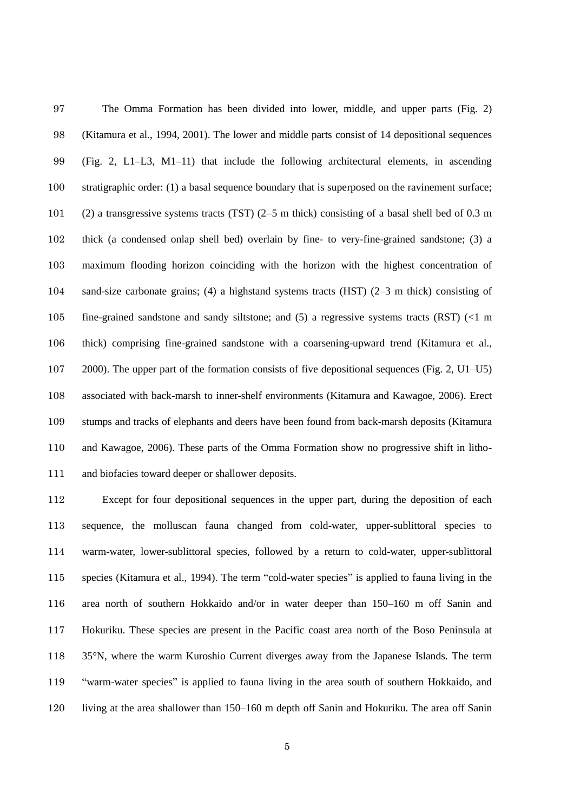The Omma Formation has been divided into lower, middle, and upper parts (Fig. 2) (Kitamura et al., 1994, 2001). The lower and middle parts consist of 14 depositional sequences (Fig. 2, L1–L3, M1–11) that include the following architectural elements, in ascending stratigraphic order: (1) a basal sequence boundary that is superposed on the ravinement surface; (2) a transgressive systems tracts (TST) (2–5 m thick) consisting of a basal shell bed of 0.3 m thick (a condensed onlap shell bed) overlain by fine- to very-fine-grained sandstone; (3) a maximum flooding horizon coinciding with the horizon with the highest concentration of sand-size carbonate grains; (4) a highstand systems tracts (HST) (2–3 m thick) consisting of fine-grained sandstone and sandy siltstone; and (5) a regressive systems tracts (RST) (<1 m thick) comprising fine-grained sandstone with a coarsening-upward trend (Kitamura et al., 2000). The upper part of the formation consists of five depositional sequences (Fig. 2, U1–U5) associated with back-marsh to inner-shelf environments (Kitamura and Kawagoe, 2006). Erect stumps and tracks of elephants and deers have been found from back-marsh deposits (Kitamura and Kawagoe, 2006). These parts of the Omma Formation show no progressive shift in litho-and biofacies toward deeper or shallower deposits.

 Except for four depositional sequences in the upper part, during the deposition of each sequence, the molluscan fauna changed from cold-water, upper-sublittoral species to warm-water, lower-sublittoral species, followed by a return to cold-water, upper-sublittoral species (Kitamura et al., 1994). The term "cold-water species" is applied to fauna living in the area north of southern Hokkaido and/or in water deeper than 150–160 m off Sanin and Hokuriku. These species are present in the Pacific coast area north of the Boso Peninsula at 35°N, where the warm Kuroshio Current diverges away from the Japanese Islands. The term "warm-water species" is applied to fauna living in the area south of southern Hokkaido, and living at the area shallower than 150–160 m depth off Sanin and Hokuriku. The area off Sanin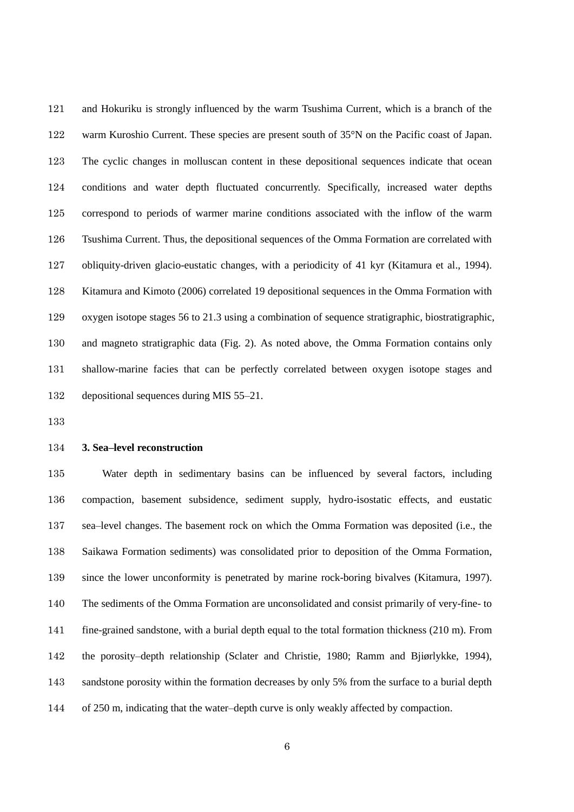and Hokuriku is strongly influenced by the warm Tsushima Current, which is a branch of the 122 warm Kuroshio Current. These species are present south of 35°N on the Pacific coast of Japan. The cyclic changes in molluscan content in these depositional sequences indicate that ocean conditions and water depth fluctuated concurrently. Specifically, increased water depths correspond to periods of warmer marine conditions associated with the inflow of the warm Tsushima Current. Thus, the depositional sequences of the Omma Formation are correlated with obliquity-driven glacio-eustatic changes, with a periodicity of 41 kyr (Kitamura et al., 1994). Kitamura and Kimoto (2006) correlated 19 depositional sequences in the Omma Formation with oxygen isotope stages 56 to 21.3 using a combination of sequence stratigraphic, biostratigraphic, and magneto stratigraphic data (Fig. 2). As noted above, the Omma Formation contains only shallow-marine facies that can be perfectly correlated between oxygen isotope stages and depositional sequences during MIS 55–21.

### **3. Sea–level reconstruction**

 Water depth in sedimentary basins can be influenced by several factors, including compaction, basement subsidence, sediment supply, hydro-isostatic effects, and eustatic sea–level changes. The basement rock on which the Omma Formation was deposited (i.e., the Saikawa Formation sediments) was consolidated prior to deposition of the Omma Formation, since the lower unconformity is penetrated by marine rock-boring bivalves (Kitamura, 1997). The sediments of the Omma Formation are unconsolidated and consist primarily of very-fine- to fine-grained sandstone, with a burial depth equal to the total formation thickness (210 m). From the porosity–depth relationship (Sclater and Christie, 1980; Ramm and Bjiørlykke, 1994), 143 sandstone porosity within the formation decreases by only 5% from the surface to a burial depth of 250 m, indicating that the water–depth curve is only weakly affected by compaction.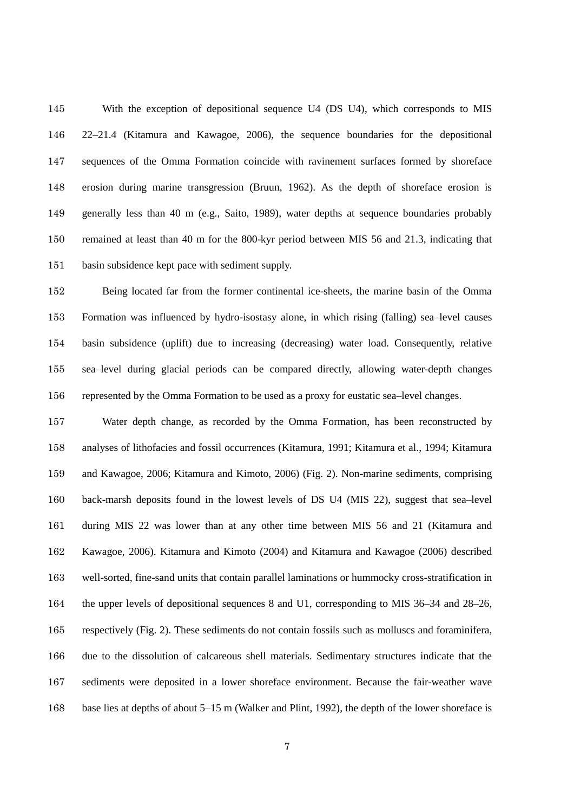With the exception of depositional sequence U4 (DS U4), which corresponds to MIS 22–21.4 (Kitamura and Kawagoe, 2006), the sequence boundaries for the depositional sequences of the Omma Formation coincide with ravinement surfaces formed by shoreface erosion during marine transgression (Bruun, 1962). As the depth of shoreface erosion is generally less than 40 m (e.g., Saito, 1989), water depths at sequence boundaries probably remained at least than 40 m for the 800-kyr period between MIS 56 and 21.3, indicating that basin subsidence kept pace with sediment supply.

 Being located far from the former continental ice-sheets, the marine basin of the Omma Formation was influenced by hydro-isostasy alone, in which rising (falling) sea–level causes basin subsidence (uplift) due to increasing (decreasing) water load. Consequently, relative sea–level during glacial periods can be compared directly, allowing water-depth changes represented by the Omma Formation to be used as a proxy for eustatic sea–level changes.

 Water depth change, as recorded by the Omma Formation, has been reconstructed by analyses of lithofacies and fossil occurrences (Kitamura, 1991; Kitamura et al., 1994; Kitamura and Kawagoe, 2006; Kitamura and Kimoto, 2006) (Fig. 2). Non-marine sediments, comprising back-marsh deposits found in the lowest levels of DS U4 (MIS 22), suggest that sea–level during MIS 22 was lower than at any other time between MIS 56 and 21 (Kitamura and Kawagoe, 2006). Kitamura and Kimoto (2004) and Kitamura and Kawagoe (2006) described well-sorted, fine-sand units that contain parallel laminations or hummocky cross-stratification in the upper levels of depositional sequences 8 and U1, corresponding to MIS 36–34 and 28–26, respectively (Fig. 2). These sediments do not contain fossils such as molluscs and foraminifera, due to the dissolution of calcareous shell materials. Sedimentary structures indicate that the sediments were deposited in a lower shoreface environment. Because the fair-weather wave 168 base lies at depths of about 5–15 m (Walker and Plint, 1992), the depth of the lower shoreface is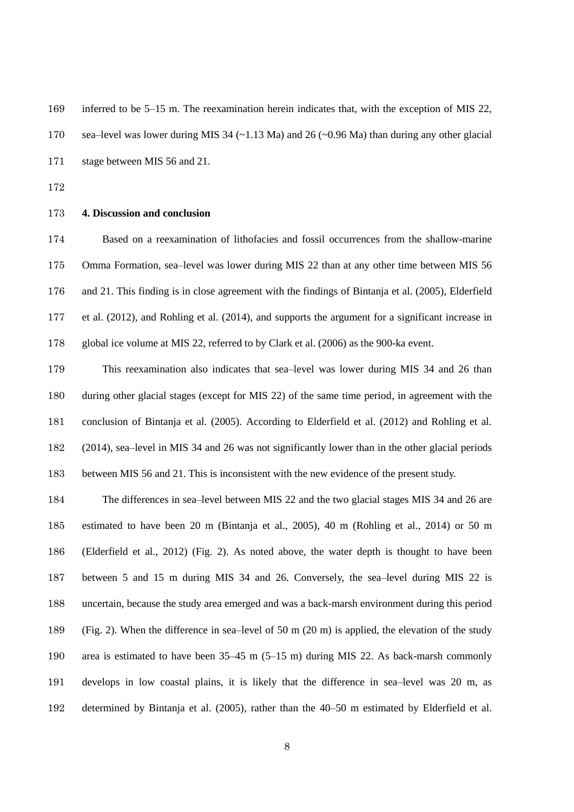inferred to be 5–15 m. The reexamination herein indicates that, with the exception of MIS 22, sea–level was lower during MIS 34 (~1.13 Ma) and 26 (~0.96 Ma) than during any other glacial stage between MIS 56 and 21.

#### **4. Discussion and conclusion**

 Based on a reexamination of lithofacies and fossil occurrences from the shallow-marine Omma Formation, sea–level was lower during MIS 22 than at any other time between MIS 56 and 21. This finding is in close agreement with the findings of Bintanja et al. (2005), Elderfield et al. (2012), and Rohling et al. (2014), and supports the argument for a significant increase in global ice volume at MIS 22, referred to by Clark et al. (2006) as the 900-ka event.

 This reexamination also indicates that sea–level was lower during MIS 34 and 26 than during other glacial stages (except for MIS 22) of the same time period, in agreement with the conclusion of Bintanja et al. (2005). According to Elderfield et al. (2012) and Rohling et al. (2014), sea–level in MIS 34 and 26 was not significantly lower than in the other glacial periods between MIS 56 and 21. This is inconsistent with the new evidence of the present study.

 The differences in sea–level between MIS 22 and the two glacial stages MIS 34 and 26 are estimated to have been 20 m (Bintanja et al., 2005), 40 m (Rohling et al., 2014) or 50 m (Elderfield et al., 2012) (Fig. 2). As noted above, the water depth is thought to have been between 5 and 15 m during MIS 34 and 26. Conversely, the sea–level during MIS 22 is uncertain, because the study area emerged and was a back-marsh environment during this period (Fig. 2). When the difference in sea–level of 50 m (20 m) is applied, the elevation of the study area is estimated to have been 35–45 m (5–15 m) during MIS 22. As back-marsh commonly develops in low coastal plains, it is likely that the difference in sea–level was 20 m, as determined by Bintanja et al. (2005), rather than the 40–50 m estimated by Elderfield et al.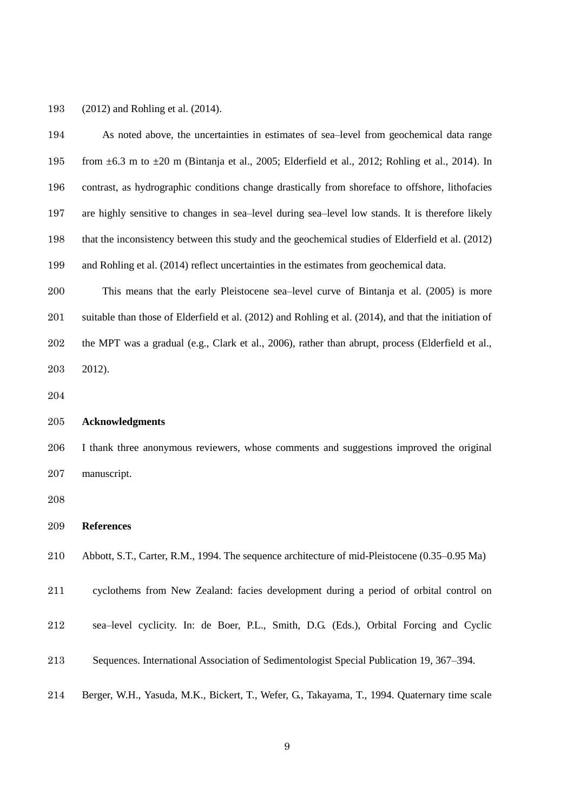(2012) and Rohling et al. (2014).

| 194 | As noted above, the uncertainties in estimates of sea-level from geochemical data range                   |
|-----|-----------------------------------------------------------------------------------------------------------|
| 195 | from $\pm 6.3$ m to $\pm 20$ m (Bintanja et al., 2005; Elderfield et al., 2012; Rohling et al., 2014). In |
| 196 | contrast, as hydrographic conditions change drastically from shoreface to offshore, lithofacies           |
| 197 | are highly sensitive to changes in sea-level during sea-level low stands. It is therefore likely          |
| 198 | that the inconsistency between this study and the geochemical studies of Elderfield et al. (2012)         |
| 199 | and Rohling et al. (2014) reflect uncertainties in the estimates from geochemical data.                   |
| 200 | This means that the early Pleistocene sea-level curve of Bintanja et al. (2005) is more                   |
| 201 | suitable than those of Elderfield et al. (2012) and Rohling et al. (2014), and that the initiation of     |
| 202 | the MPT was a gradual (e.g., Clark et al., 2006), rather than abrupt, process (Elderfield et al.,         |
| 203 | 2012).                                                                                                    |
| 204 |                                                                                                           |
| 205 | <b>Acknowledgments</b>                                                                                    |
| 206 | I thank three anonymous reviewers, whose comments and suggestions improved the original                   |
| 207 | manuscript.                                                                                               |
| 208 |                                                                                                           |
| 209 | <b>References</b>                                                                                         |
| 210 | Abbott, S.T., Carter, R.M., 1994. The sequence architecture of mid-Pleistocene (0.35–0.95 Ma)             |
| 211 | cyclothems from New Zealand: facies development during a period of orbital control on                     |
| 212 | sea-level cyclicity. In: de Boer, P.L., Smith, D.G. (Eds.), Orbital Forcing and Cyclic                    |
| 213 | Sequences. International Association of Sedimentologist Special Publication 19, 367–394.                  |
| 214 | Berger, W.H., Yasuda, M.K., Bickert, T., Wefer, G., Takayama, T., 1994. Quaternary time scale             |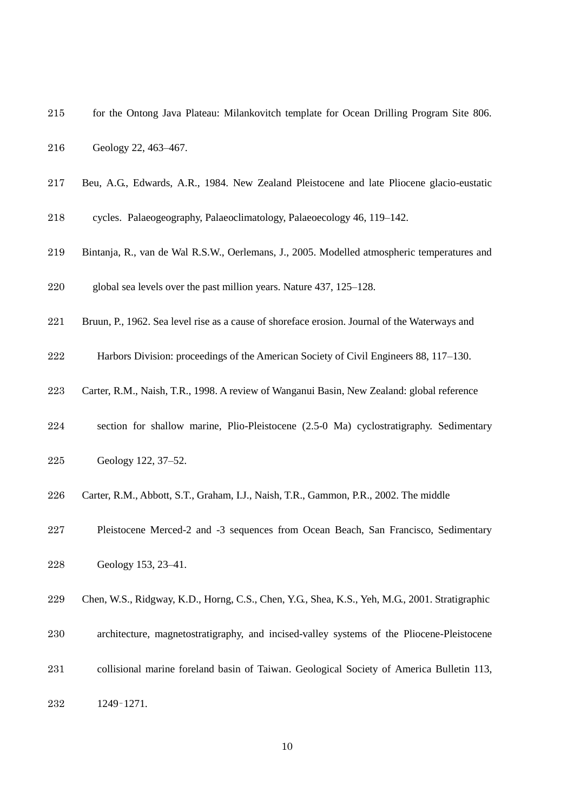- for the Ontong Java Plateau: Milankovitch template for Ocean Drilling Program Site 806.
- Geology 22, 463–467.
- Beu, A.G., Edwards, A.R., 1984. New Zealand Pleistocene and late Pliocene glacio-eustatic
- cycles. Palaeogeography, Palaeoclimatology, Palaeoecology 46, 119–142.
- Bintanja, R., van de Wal R.S.W., Oerlemans, J., 2005. Modelled atmospheric temperatures and
- global sea levels over the past million years. Nature 437, 125–128.
- Bruun, P., 1962. Sea level rise as a cause of shoreface erosion. Journal of the Waterways and
- Harbors Division: proceedings of the American Society of Civil Engineers 88, 117–130.
- Carter, R.M., Naish, T.R., 1998. A review of Wanganui Basin, New Zealand: global reference
- section for shallow marine, Plio-Pleistocene (2.5-0 Ma) cyclostratigraphy. Sedimentary
- Geology 122, 37–52.
- Carter, R.M., Abbott, S.T., Graham, I.J., Naish, T.R., Gammon, P.R., 2002. The middle
- Pleistocene Merced-2 and -3 sequences from Ocean Beach, San Francisco, Sedimentary
- Geology 153, 23–41.
- Chen, W.S., Ridgway, K.D., Horng, C.S., Chen, Y.G., Shea, K.S., Yeh, M.G., 2001. Stratigraphic
- architecture, magnetostratigraphy, and incised-valley systems of the Pliocene-Pleistocene
- collisional marine foreland basin of Taiwan. Geological Society of America Bulletin 113,
- 1249–1271.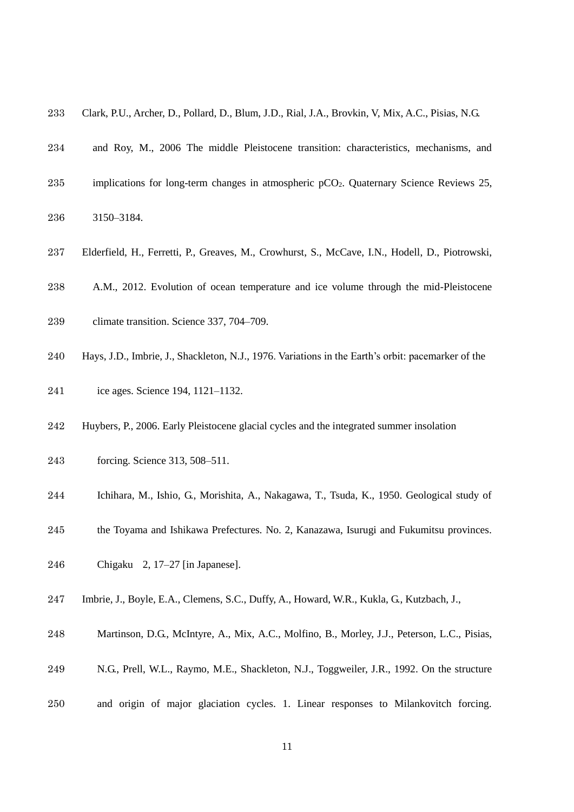- Clark, P.U., Archer, D., Pollard, D., Blum, J.D., Rial, J.A., Brovkin, V, Mix, A.C., Pisias, N.G.
- and Roy, M., 2006 The middle Pleistocene transition: characteristics, mechanisms, and
- 235 implications for long-term changes in atmospheric pCO<sub>2</sub>. Quaternary Science Reviews 25,
- 3150–3184.
- Elderfield, H., Ferretti, P., Greaves, M., Crowhurst, S., McCave, I.N., Hodell, D., Piotrowski,
- A.M., 2012. Evolution of ocean temperature and ice volume through the mid-Pleistocene
- climate transition. Science 337, 704–709.
- Hays, J.D., Imbrie, J., Shackleton, N.J., 1976. Variations in the Earth's orbit: pacemarker of the
- ice ages. Science 194, 1121–1132.
- Huybers, P., 2006. Early Pleistocene glacial cycles and the integrated summer insolation
- forcing. Science 313, 508–511.
- Ichihara, M., Ishio, G., Morishita, A., Nakagawa, T., Tsuda, K., 1950. Geological study of
- the Toyama and Ishikawa Prefectures. No. 2, Kanazawa, Isurugi and Fukumitsu provinces.
- Chigaku 2, 17–27 [in Japanese].
- Imbrie, J., Boyle, E.A., Clemens, S.C., Duffy, A., Howard, W.R., Kukla, G., Kutzbach, J.,
- Martinson, D.G., McIntyre, A., Mix, A.C., Molfino, B., Morley, J.J., Peterson, L.C., Pisias,
- N.G., Prell, W.L., Raymo, M.E., Shackleton, N.J., Toggweiler, J.R., 1992. On the structure
- and origin of major glaciation cycles. 1. Linear responses to Milankovitch forcing.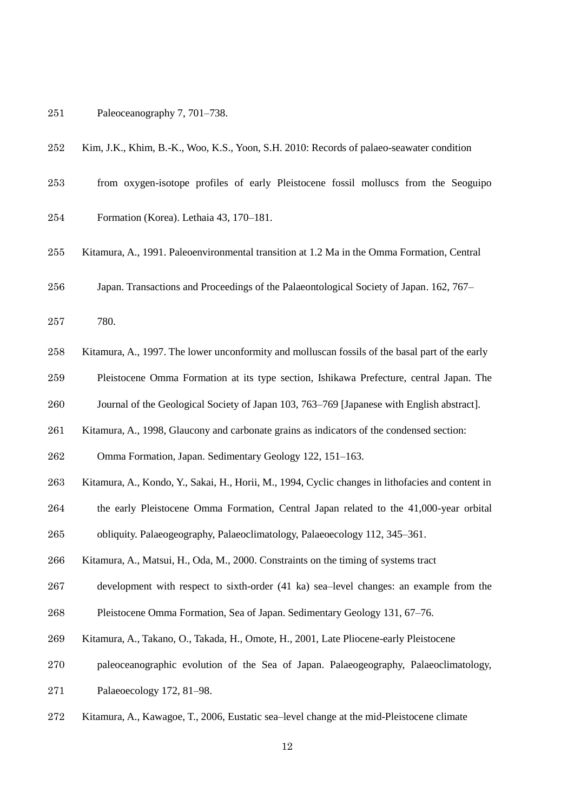## Paleoceanography 7, 701–738.

- Kim, J.K., Khim, B.-K., Woo, K.S., Yoon, S.H. 2010: Records of palaeo-seawater condition
- from oxygen-isotope profiles of early Pleistocene fossil molluscs from the Seoguipo
- Formation (Korea). Lethaia 43, 170–181.
- Kitamura, A., 1991. Paleoenvironmental transition at 1.2 Ma in the Omma Formation, Central
- Japan. Transactions and Proceedings of the Palaeontological Society of Japan. 162, 767–
- 780.
- Kitamura, A., 1997. The lower unconformity and molluscan fossils of the basal part of the early
- Pleistocene Omma Formation at its type section, Ishikawa Prefecture, central Japan. The
- Journal of the Geological Society of Japan 103, 763–769 [Japanese with English abstract].
- Kitamura, A., 1998, Glaucony and carbonate grains as indicators of the condensed section:
- Omma Formation, Japan. Sedimentary Geology 122, 151–163.
- Kitamura, A., Kondo, Y., Sakai, H., Horii, M., 1994, Cyclic changes in lithofacies and content in
- the early Pleistocene Omma Formation, Central Japan related to the 41,000-year orbital
- obliquity. Palaeogeography, Palaeoclimatology, Palaeoecology 112, 345–361.
- Kitamura, A., Matsui, H., Oda, M., 2000. Constraints on the timing of systems tract
- development with respect to sixth-order (41 ka) sea–level changes: an example from the
- Pleistocene Omma Formation, Sea of Japan. Sedimentary Geology 131, 67–76.
- Kitamura, A., Takano, O., Takada, H., Omote, H., 2001, Late Pliocene-early Pleistocene
- paleoceanographic evolution of the Sea of Japan. Palaeogeography, Palaeoclimatology,
- Palaeoecology 172, 81–98.
- Kitamura, A., Kawagoe, T., 2006, Eustatic sea–level change at the mid-Pleistocene climate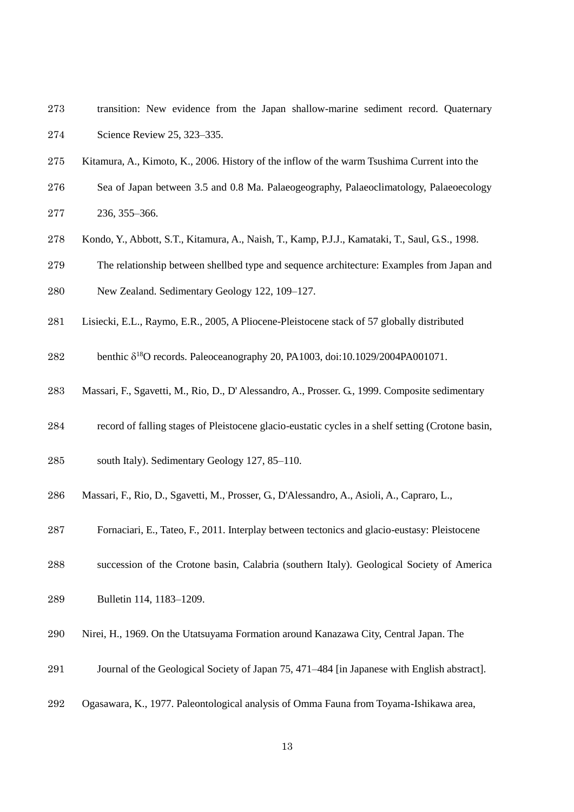- transition: New evidence from the Japan shallow-marine sediment record. Quaternary Science Review 25, 323–335.
- Kitamura, A., Kimoto, K., 2006. History of the inflow of the warm Tsushima Current into the
- Sea of Japan between 3.5 and 0.8 Ma. Palaeogeography, Palaeoclimatology, Palaeoecology 236, 355–366.
- Kondo, Y., Abbott, S.T., Kitamura, A., Naish, T., Kamp, P.J.J., Kamataki, T., Saul, G.S., 1998.
- The relationship between shellbed type and sequence architecture: Examples from Japan and
- New Zealand. Sedimentary Geology 122, 109–127.
- Lisiecki, E.L., Raymo, E.R., 2005, A Pliocene-Pleistocene stack of 57 globally distributed
- 282 benthic  $\delta^{18}$ O records. Paleoceanography 20, PA1003, doi:10.1029/2004PA001071.
- Massari, F., Sgavetti, M., Rio, D., D' Alessandro, A., Prosser. G., 1999. Composite sedimentary
- record of falling stages of Pleistocene glacio-eustatic cycles in a shelf setting (Crotone basin,
- south Italy). Sedimentary Geology 127, 85–110.
- Massari, F., Rio, D., Sgavetti, M., Prosser, G., D'Alessandro, A., Asioli, A., Capraro, L.,
- Fornaciari, E., Tateo, F., 2011. Interplay between tectonics and glacio-eustasy: Pleistocene
- succession of the Crotone basin, Calabria (southern Italy). Geological Society of America
- Bulletin 114, 1183–1209.
- Nirei, H., 1969. On the Utatsuyama Formation around Kanazawa City, Central Japan. The
- Journal of the Geological Society of Japan 75, 471–484 [in Japanese with English abstract].
- Ogasawara, K., 1977. Paleontological analysis of Omma Fauna from Toyama-Ishikawa area,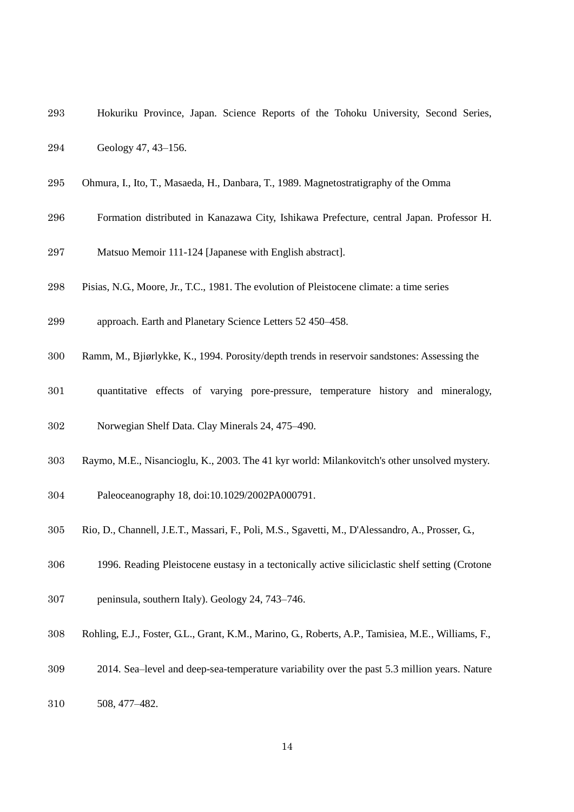- Hokuriku Province, Japan. Science Reports of the Tohoku University, Second Series,
- Geology 47, 43–156.
- Ohmura, I., Ito, T., Masaeda, H., Danbara, T., 1989. Magnetostratigraphy of the Omma
- Formation distributed in Kanazawa City, Ishikawa Prefecture, central Japan. Professor H.
- Matsuo Memoir 111-124 [Japanese with English abstract].
- Pisias, N.G., Moore, Jr., T.C., 1981. The evolution of Pleistocene climate: a time series
- approach. Earth and Planetary Science Letters 52 450–458.
- Ramm, M., Bjiørlykke, K., 1994. Porosity/depth trends in reservoir sandstones: Assessing the
- quantitative effects of varying pore-pressure, temperature history and mineralogy,
- Norwegian Shelf Data. Clay Minerals 24, 475–490.
- Raymo, M.E., Nisancioglu, K., 2003. The 41 kyr world: Milankovitch's other unsolved mystery.
- Paleoceanography 18, doi:10.1029/2002PA000791.
- Rio, D., Channell, J.E.T., Massari, F., Poli, M.S., Sgavetti, M., D'Alessandro, A., Prosser, G.,
- 1996. Reading Pleistocene eustasy in a tectonically active siliciclastic shelf setting (Crotone
- peninsula, southern Italy). Geology 24, 743–746.
- 308 Rohling, E.J., Foster, G.L., Grant, K.M., Marino, G., Roberts, A.P., Tamisiea, M.E., Williams, F.,
- 2014. Sea–level and deep-sea-temperature variability over the past 5.3 million years. Nature
- 508, 477–482.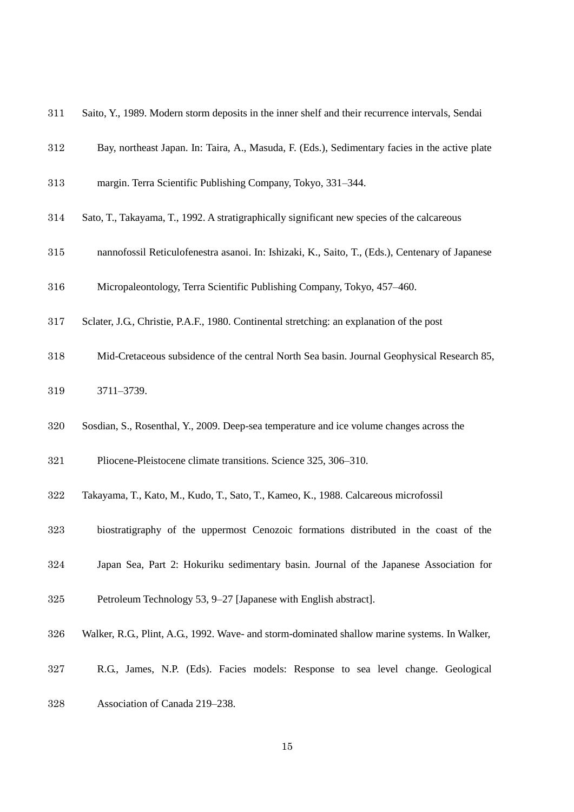- Saito, Y., 1989. Modern storm deposits in the inner shelf and their recurrence intervals, Sendai
- Bay, northeast Japan. In: Taira, A., Masuda, F. (Eds.), Sedimentary facies in the active plate
- margin. Terra Scientific Publishing Company, Tokyo, 331–344.
- Sato, T., Takayama, T., 1992. A stratigraphically significant new species of the calcareous
- nannofossil Reticulofenestra asanoi. In: Ishizaki, K., Saito, T., (Eds.), Centenary of Japanese
- Micropaleontology, Terra Scientific Publishing Company, Tokyo, 457–460.
- Sclater, J.G., Christie, P.A.F., 1980. Continental stretching: an explanation of the post
- Mid-Cretaceous subsidence of the central North Sea basin. Journal Geophysical Research 85,
- 3711–3739.
- Sosdian, S., Rosenthal, Y., 2009. Deep-sea temperature and ice volume changes across the
- Pliocene-Pleistocene climate transitions. Science 325, 306–310.
- Takayama, T., Kato, M., Kudo, T., Sato, T., Kameo, K., 1988. Calcareous microfossil
- biostratigraphy of the uppermost Cenozoic formations distributed in the coast of the
- Japan Sea, Part 2: Hokuriku sedimentary basin. Journal of the Japanese Association for
- Petroleum Technology 53, 9–27 [Japanese with English abstract].
- Walker, R.G., Plint, A.G., 1992. Wave- and storm-dominated shallow marine systems. In Walker,
- R.G., James, N.P. (Eds). Facies models: Response to sea level change. Geological
- Association of Canada 219–238.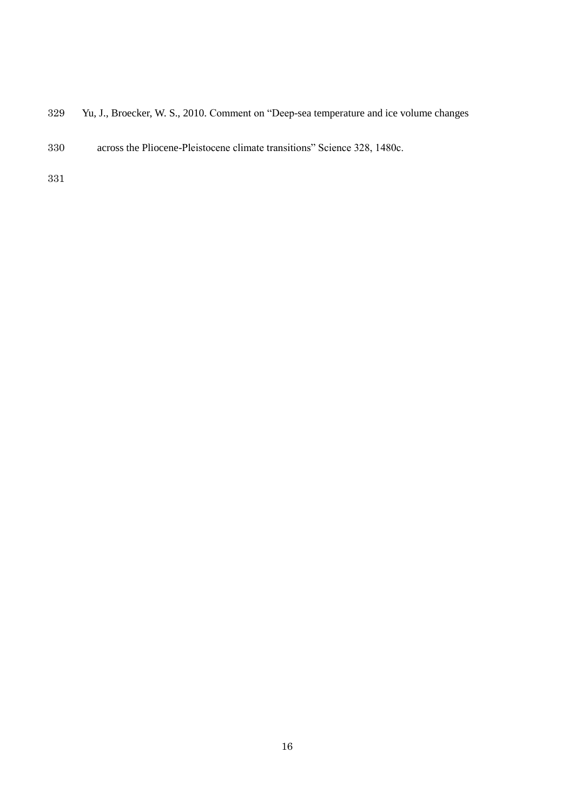- Yu, J., Broecker, W. S., 2010. Comment on "Deep-sea temperature and ice volume changes
- across the Pliocene-Pleistocene climate transitions" Science 328, 1480c.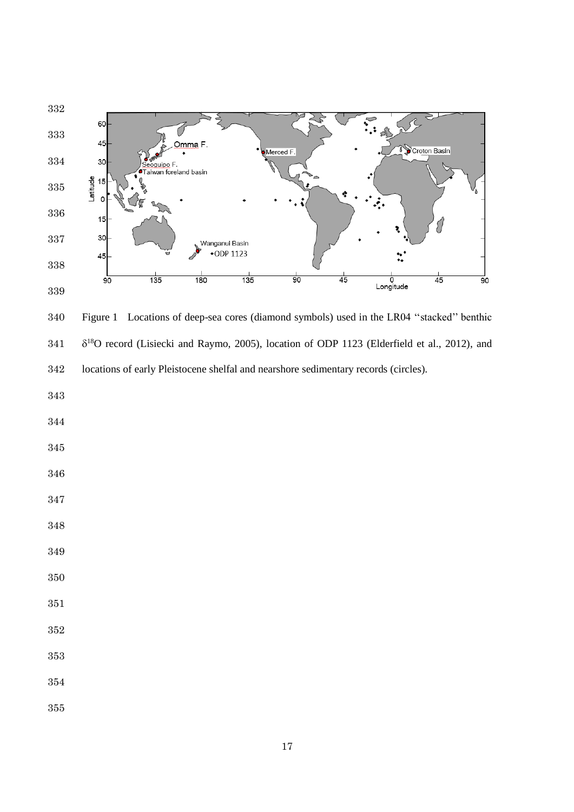

 Figure 1 Locations of deep-sea cores (diamond symbols) used in the LR04 ''stacked'' benthic  $\delta^{18}$ O record (Lisiecki and Raymo, 2005), location of ODP 1123 (Elderfield et al., 2012), and locations of early Pleistocene shelfal and nearshore sedimentary records (circles).

- 
- 
- 
- 
- 
- 
- 
- 
- 
- 
- 
- 
- 
-